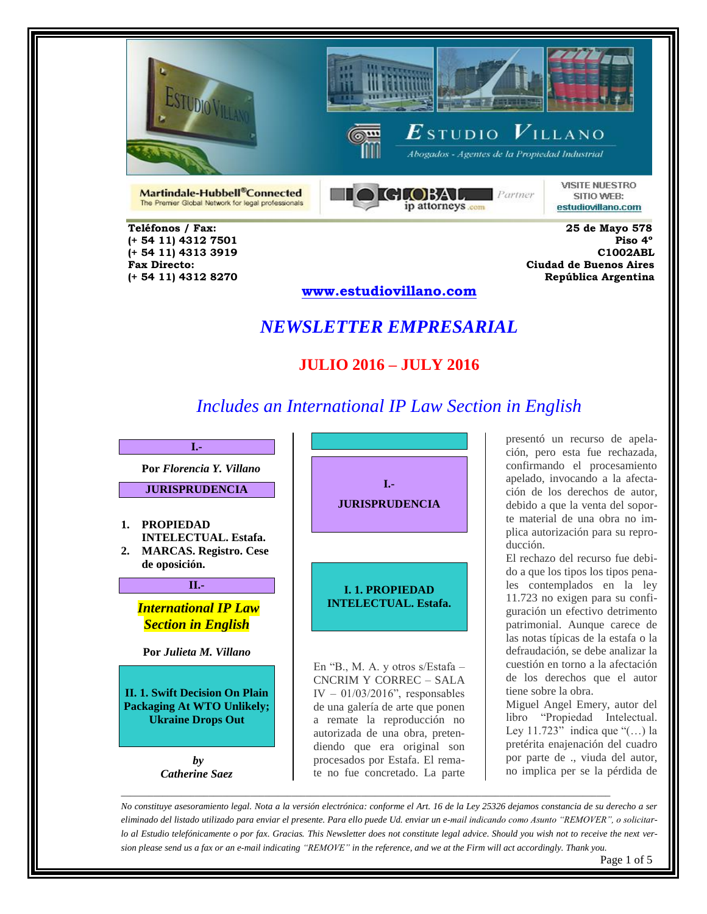

 **(+ 54 11) 4313 3919 C1002ABL** 



 $\boldsymbol{E}$ studio  $\boldsymbol{V}$ illano

Abogados - Agentes de la Propiedad Industrial



**VISITE NUESTRO** SITIO WEB: estudiovillano.com

Martindale-Hubbell®Connected The Premier Global Network for legal professionals  $GLOBAL$  Partner ip attorneys com

 **Teléfonos / Fax: 25 de Mayo 578 (+ 54 11) 4312 7501 Piso 4º Fax Directo: Ciudad de Buenos Aires**

 **(+ 54 11) 4312 8270 República Argentina www.estudiovillano.com**

# *NEWSLETTER EMPRESARIAL*

## **JULIO 2016 – JULY 2016**

# *Includes an International IP Law Section in English*

**I.- Por** *Florencia Y. Villano*

**JURISPRUDENCIA**

**1. PROPIEDAD INTELECTUAL. Estafa. 2. MARCAS. Registro. Cese de oposición.** 

**II.-**

#### *International IP Law Section in English*

**Por** *Julieta M. Villano*

**II. 1. Swift Decision On Plain Packaging At WTO Unlikely; Ukraine Drops Out**

> *by Catherine Saez*



En "B., M. A. y otros s/Estafa – CNCRIM Y CORREC – SALA IV –  $01/03/2016$ ", responsables de una galería de arte que ponen a remate la reproducción no autorizada de una obra, pretendiendo que era original son procesados por Estafa. El remate no fue concretado. La parte

presentó un recurso de apelación, pero esta fue rechazada, confirmando el procesamiento apelado, invocando a la afectación de los derechos de autor, debido a que la venta del soporte material de una obra no implica autorización para su reproducción.

El rechazo del recurso fue debido a que los tipos los tipos penales contemplados en la ley 11.723 no exigen para su configuración un efectivo detrimento patrimonial. Aunque carece de las notas típicas de la estafa o la defraudación, se debe analizar la cuestión en torno a la afectación de los derechos que el autor tiene sobre la obra.

Miguel Angel Emery, autor del libro "Propiedad Intelectual. Ley 11.723" indica que "(…) la pretérita enajenación del cuadro por parte de ., viuda del autor, no implica per se la pérdida de

*No constituye asesoramiento legal. Nota a la versión electrónica: conforme el Art. 16 de la Ley 25326 dejamos constancia de su derecho a ser eliminado del listado utilizado para enviar el presente. Para ello puede Ud. enviar un e-mail indicando como Asunto "REMOVER", o solicitarlo al Estudio telefónicamente o por fax. Gracias. This Newsletter does not constitute legal advice. Should you wish not to receive the next version please send us a fax or an e-mail indicating "REMOVE" in the reference, and we at the Firm will act accordingly. Thank you.*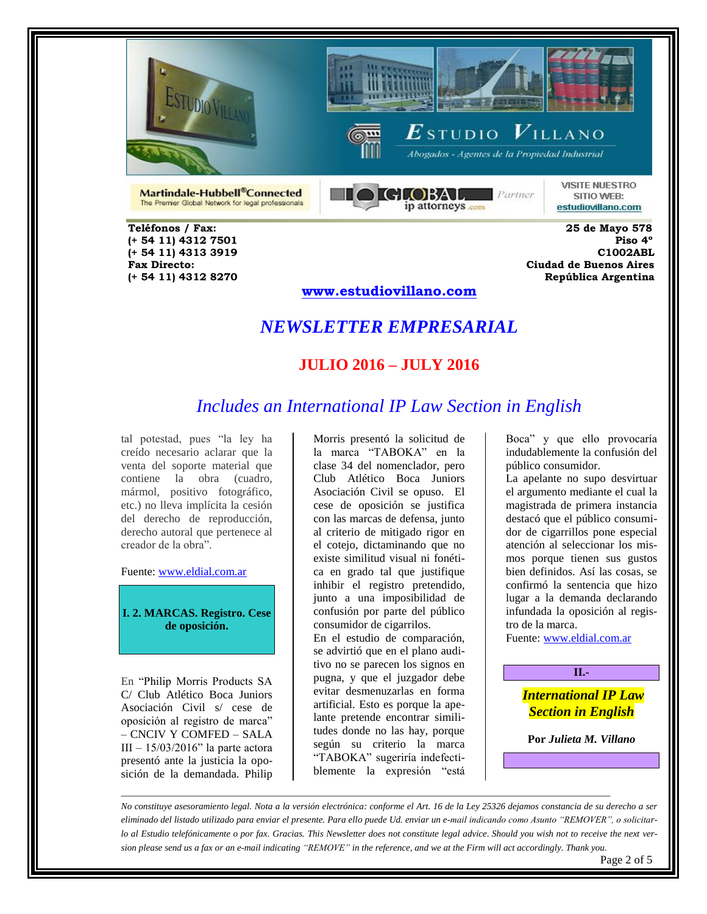





Abogados - Agentes de la Propiedad Industrial

Martindale-Hubbell®Connected The Premier Global Network for legal professionals



**VISITE NUESTRO** SITIO WEB: estudiovillano.com

 **Teléfonos / Fax: 25 de Mayo 578 (+ 54 11) 4313 3919 C1002ABL** 

 **(+ 54 11) 4312 7501 Piso 4º Fax Directo: Ciudad de Buenos Aires (+ 54 11) 4312 8270 República Argentina** 

#### **www.estudiovillano.com**

## *NEWSLETTER EMPRESARIAL*

#### **JULIO 2016 – JULY 2016**

## *Includes an International IP Law Section in English*

tal potestad, pues "la ley ha creído necesario aclarar que la venta del soporte material que contiene la obra (cuadro, mármol, positivo fotográfico, etc.) no lleva implícita la cesión del derecho de reproducción, derecho autoral que pertenece al creador de la obra".

Fuente: [www.eldial.com.ar](http://www.eldial.com.ar/)

**I. 2. MARCAS. Registro. Cese de oposición.**

En "Philip Morris Products SA C/ Club Atlético Boca Juniors Asociación Civil s/ cese de oposición al registro de marca" – CNCIV Y COMFED – SALA III – 15/03/2016" la parte actora presentó ante la justicia la oposición de la demandada. Philip Morris presentó la solicitud de la marca "TABOKA" en la clase 34 del nomenclador, pero Club Atlético Boca Juniors Asociación Civil se opuso. El cese de oposición se justifica con las marcas de defensa, junto al criterio de mitigado rigor en el cotejo, dictaminando que no existe similitud visual ni fonética en grado tal que justifique inhibir el registro pretendido, junto a una imposibilidad de confusión por parte del público consumidor de cigarrilos.

En el estudio de comparación, se advirtió que en el plano auditivo no se parecen los signos en pugna, y que el juzgador debe evitar desmenuzarlas en forma artificial. Esto es porque la apelante pretende encontrar similitudes donde no las hay, porque según su criterio la marca "TABOKA" sugeriría indefectiblemente la expresión "está

Boca" y que ello provocaría indudablemente la confusión del público consumidor.

La apelante no supo desvirtuar el argumento mediante el cual la magistrada de primera instancia destacó que el público consumidor de cigarrillos pone especial atención al seleccionar los mismos porque tienen sus gustos bien definidos. Así las cosas, se confirmó la sentencia que hizo lugar a la demanda declarando infundada la oposición al registro de la marca.

Fuente[: www.eldial.com.ar](http://www.eldial.com.ar/)

#### **II.-**

*International IP Law Section in English*

**Por** *Julieta M. Villano*

*No constituye asesoramiento legal. Nota a la versión electrónica: conforme el Art. 16 de la Ley 25326 dejamos constancia de su derecho a ser eliminado del listado utilizado para enviar el presente. Para ello puede Ud. enviar un e-mail indicando como Asunto "REMOVER", o solicitarlo al Estudio telefónicamente o por fax. Gracias. This Newsletter does not constitute legal advice. Should you wish not to receive the next version please send us a fax or an e-mail indicating "REMOVE" in the reference, and we at the Firm will act accordingly. Thank you.*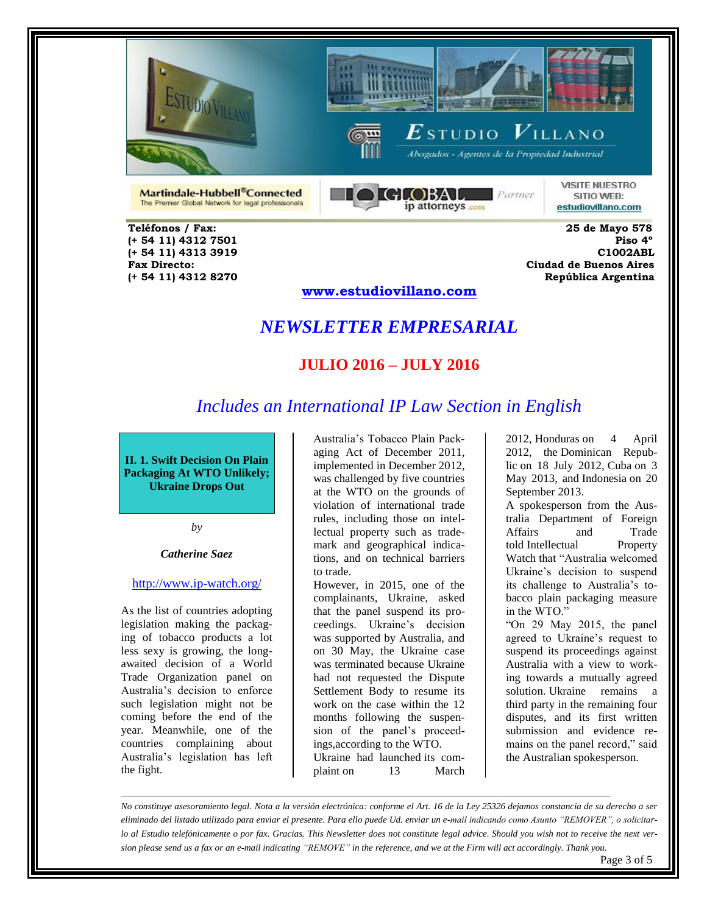





Abogados - Agentes de la Propiedad Industrial

**VISITE NUESTRO** SITIO WEB:

Martindale-Hubbell®Connected The Premier Global Network for legal professionals **GLOBAL** Partner ip attorneys com

estudiovillano.com

 **Teléfonos / Fax: 25 de Mayo 578 (+ 54 11) 4313 3919 C1002ABL** 

 **(+ 54 11) 4312 7501 Piso 4º Fax Directo: Ciudad de Buenos Aires (+ 54 11) 4312 8270 República Argentina** 

#### **www.estudiovillano.com**

## *NEWSLETTER EMPRESARIAL*

#### **JULIO 2016 – JULY 2016**

#### *Includes an International IP Law Section in English*

**II. 1. Swift Decision On Plain Packaging At WTO Unlikely; Ukraine Drops Out**

*by*

#### *Catherine Saez*

#### <http://www.ip-watch.org/>

As the list of countries adopting legislation making the packaging of tobacco products a lot less sexy is growing, the longawaited decision of a World Trade Organization panel on Australia's decision to enforce such legislation might not be coming before the end of the year. Meanwhile, one of the countries complaining about Australia's legislation has left the fight.

Australia's Tobacco Plain Packaging Act of December 2011, implemented in December 2012, was challenged by five countries at the WTO on the grounds of violation of international trade rules, including those on intellectual property such as trademark and geographical indications, and on technical barriers to trade.

However, in 2015, one of the complainants, Ukraine, asked that the panel suspend its proceedings. Ukraine's decision was supported by Australia, and on 30 May, the Ukraine case was terminated because Ukraine had not requested the Dispute Settlement Body to resume its work on the case within the 12 months following the suspension of the panel's proceedings,according to the WTO. Ukraine had launched its complaint on 13 March

2012, Honduras on 4 April 2012, the Dominican Republic on 18 July 2012, Cuba on 3 May 2013, and Indonesia on 20 September 2013.

A spokesperson from the Australia Department of Foreign Affairs and told Intellectual Property Watch that "Australia welcomed Ukraine's decision to suspend its challenge to Australia's tobacco plain packaging measure in the WTO."

"On 29 May 2015, the panel agreed to Ukraine's request to suspend its proceedings against Australia with a view to working towards a mutually agreed solution. Ukraine remains a third party in the remaining four disputes, and its first written submission and evidence remains on the panel record," said the Australian spokesperson.

*No constituye asesoramiento legal. Nota a la versión electrónica: conforme el Art. 16 de la Ley 25326 dejamos constancia de su derecho a ser eliminado del listado utilizado para enviar el presente. Para ello puede Ud. enviar un e-mail indicando como Asunto "REMOVER", o solicitarlo al Estudio telefónicamente o por fax. Gracias. This Newsletter does not constitute legal advice. Should you wish not to receive the next version please send us a fax or an e-mail indicating "REMOVE" in the reference, and we at the Firm will act accordingly. Thank you.*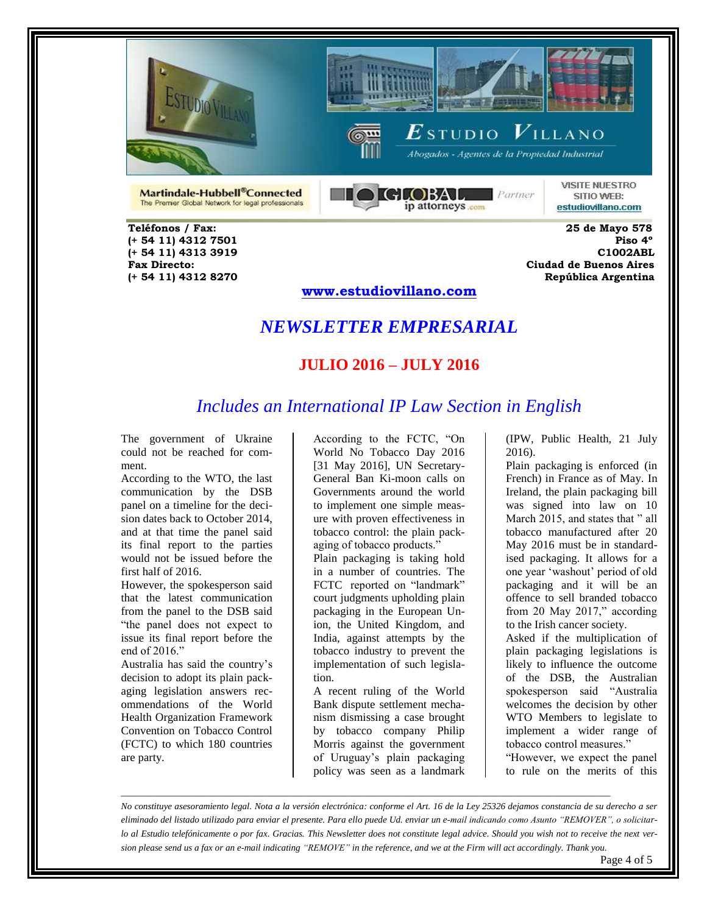





Abogados - Agentes de la Propiedad Industrial

Martindale-Hubbell®Connected The Premier Global Network for legal professionals



**VISITE NUESTRO** SITIO WEB: estudiovillano.com

 **Teléfonos / Fax: 25 de Mayo 578 (+ 54 11) 4313 3919 C1002ABL** 

 **(+ 54 11) 4312 7501 Piso 4º Fax Directo: Ciudad de Buenos Aires (+ 54 11) 4312 8270 República Argentina** 

#### **www.estudiovillano.com**

## *NEWSLETTER EMPRESARIAL*

#### **JULIO 2016 – JULY 2016**

#### *Includes an International IP Law Section in English*

The government of Ukraine could not be reached for comment.

According to the WTO, the last communication by the DSB panel on a timeline for the decision dates back to October 2014, and at that time the panel said its final report to the parties would not be issued before the first half of 2016.

However, the spokesperson said that the latest communication from the panel to the DSB said "the panel does not expect to issue its final report before the end of 2016."

Australia has said the country's decision to adopt its plain packaging legislation answers recommendations of the World Health Organization Framework Convention on Tobacco Control (FCTC) to which 180 countries are party.

According to the FCTC, "On World No Tobacco Day 2016 [31 May 2016], UN Secretary-General Ban Ki-moon calls on Governments around the world to implement one simple measure with proven effectiveness in tobacco control: the plain packaging of tobacco products."

Plain packaging is taking hold in a number of countries. The FCTC reported on "landmark" court judgments upholding plain packaging in the European Union, the United Kingdom, and India, against attempts by the tobacco industry to prevent the implementation of such legislation.

A recent ruling of the World Bank dispute settlement mechanism dismissing a case brought by tobacco company Philip Morris against the government of Uruguay's plain packaging policy was seen as a landmark

(IPW, Public Health, 21 July 2016).

Plain packaging is enforced (in French) in France as of May. In Ireland, the plain packaging bill was signed into law on 10 March 2015, and states that " all tobacco manufactured after 20 May 2016 must be in standardised packaging. It allows for a one year 'washout' period of old packaging and it will be an offence to sell branded tobacco from 20 May 2017," according to the Irish cancer society.

Asked if the multiplication of plain packaging legislations is likely to influence the outcome of the DSB, the Australian spokesperson said "Australia welcomes the decision by other WTO Members to legislate to implement a wider range of tobacco control measures."

"However, we expect the panel to rule on the merits of this

*No constituye asesoramiento legal. Nota a la versión electrónica: conforme el Art. 16 de la Ley 25326 dejamos constancia de su derecho a ser eliminado del listado utilizado para enviar el presente. Para ello puede Ud. enviar un e-mail indicando como Asunto "REMOVER", o solicitarlo al Estudio telefónicamente o por fax. Gracias. This Newsletter does not constitute legal advice. Should you wish not to receive the next version please send us a fax or an e-mail indicating "REMOVE" in the reference, and we at the Firm will act accordingly. Thank you.*